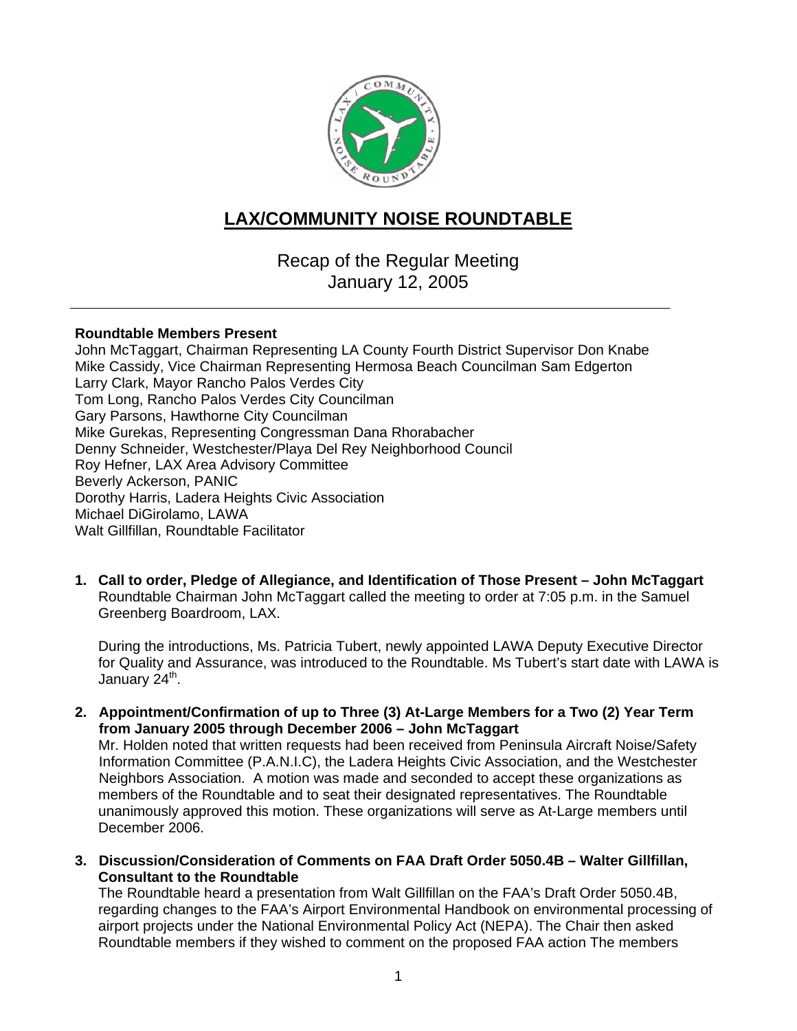

# **LAX/COMMUNITY NOISE ROUNDTABLE**

Recap of the Regular Meeting January 12, 2005

### **Roundtable Members Present**

John McTaggart, Chairman Representing LA County Fourth District Supervisor Don Knabe Mike Cassidy, Vice Chairman Representing Hermosa Beach Councilman Sam Edgerton Larry Clark, Mayor Rancho Palos Verdes City Tom Long, Rancho Palos Verdes City Councilman Gary Parsons, Hawthorne City Councilman Mike Gurekas, Representing Congressman Dana Rhorabacher Denny Schneider, Westchester/Playa Del Rey Neighborhood Council Roy Hefner, LAX Area Advisory Committee Beverly Ackerson, PANIC Dorothy Harris, Ladera Heights Civic Association Michael DiGirolamo, LAWA Walt Gillfillan, Roundtable Facilitator

**1. Call to order, Pledge of Allegiance, and Identification of Those Present – John McTaggart** Roundtable Chairman John McTaggart called the meeting to order at 7:05 p.m. in the Samuel Greenberg Boardroom, LAX.

During the introductions, Ms. Patricia Tubert, newly appointed LAWA Deputy Executive Director for Quality and Assurance, was introduced to the Roundtable. Ms Tubert's start date with LAWA is January  $24^{\text{th}}$ .

**2. Appointment/Confirmation of up to Three (3) At-Large Members for a Two (2) Year Term from January 2005 through December 2006 – John McTaggart**

Mr. Holden noted that written requests had been received from Peninsula Aircraft Noise/Safety Information Committee (P.A.N.I.C), the Ladera Heights Civic Association, and the Westchester Neighbors Association. A motion was made and seconded to accept these organizations as members of the Roundtable and to seat their designated representatives. The Roundtable unanimously approved this motion. These organizations will serve as At-Large members until December 2006.

**3. Discussion/Consideration of Comments on FAA Draft Order 5050.4B – Walter Gillfillan, Consultant to the Roundtable**

The Roundtable heard a presentation from Walt Gillfillan on the FAA's Draft Order 5050.4B, regarding changes to the FAA's Airport Environmental Handbook on environmental processing of airport projects under the National Environmental Policy Act (NEPA). The Chair then asked Roundtable members if they wished to comment on the proposed FAA action The members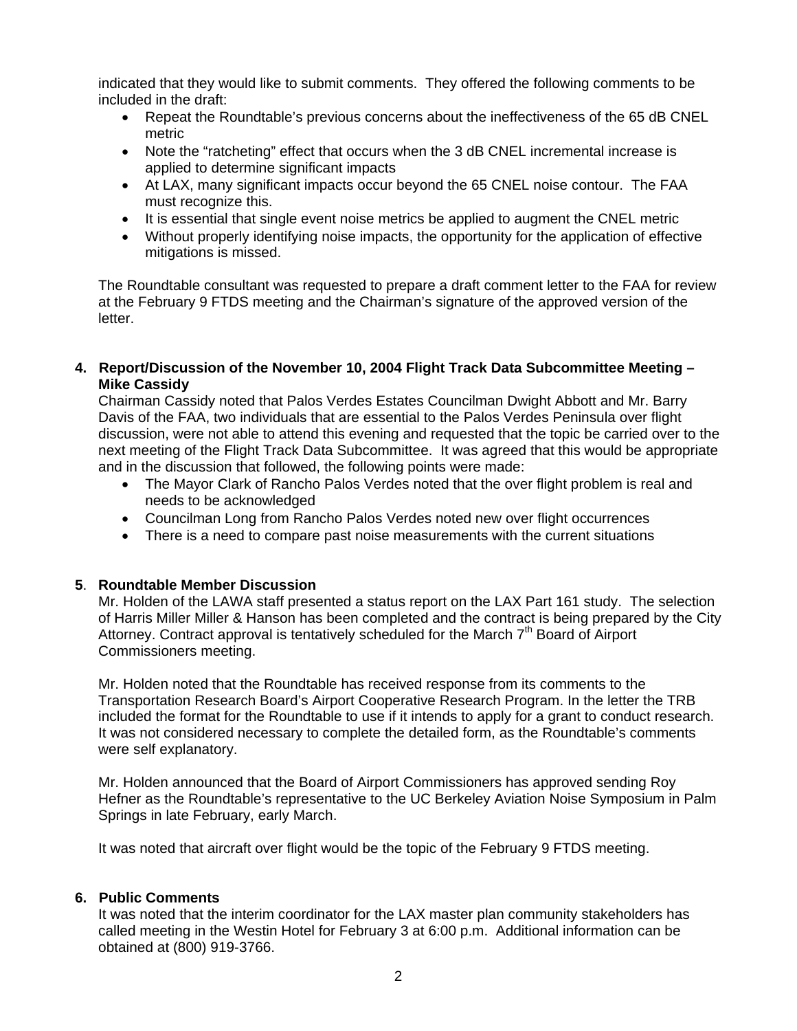indicated that they would like to submit comments. They offered the following comments to be included in the draft:

- Repeat the Roundtable's previous concerns about the ineffectiveness of the 65 dB CNEL metric
- Note the "ratcheting" effect that occurs when the 3 dB CNEL incremental increase is applied to determine significant impacts
- At LAX, many significant impacts occur beyond the 65 CNEL noise contour. The FAA must recognize this.
- It is essential that single event noise metrics be applied to augment the CNEL metric
- Without properly identifying noise impacts, the opportunity for the application of effective mitigations is missed.

The Roundtable consultant was requested to prepare a draft comment letter to the FAA for review at the February 9 FTDS meeting and the Chairman's signature of the approved version of the letter.

## **4. Report/Discussion of the November 10, 2004 Flight Track Data Subcommittee Meeting – Mike Cassidy**

Chairman Cassidy noted that Palos Verdes Estates Councilman Dwight Abbott and Mr. Barry Davis of the FAA, two individuals that are essential to the Palos Verdes Peninsula over flight discussion, were not able to attend this evening and requested that the topic be carried over to the next meeting of the Flight Track Data Subcommittee. It was agreed that this would be appropriate and in the discussion that followed, the following points were made:

- The Mayor Clark of Rancho Palos Verdes noted that the over flight problem is real and needs to be acknowledged
- Councilman Long from Rancho Palos Verdes noted new over flight occurrences
- There is a need to compare past noise measurements with the current situations

#### **5**. **Roundtable Member Discussion**

Mr. Holden of the LAWA staff presented a status report on the LAX Part 161 study. The selection of Harris Miller Miller & Hanson has been completed and the contract is being prepared by the City Attorney. Contract approval is tentatively scheduled for the March  $7<sup>th</sup>$  Board of Airport Commissioners meeting.

Mr. Holden noted that the Roundtable has received response from its comments to the Transportation Research Board's Airport Cooperative Research Program. In the letter the TRB included the format for the Roundtable to use if it intends to apply for a grant to conduct research. It was not considered necessary to complete the detailed form, as the Roundtable's comments were self explanatory.

Mr. Holden announced that the Board of Airport Commissioners has approved sending Roy Hefner as the Roundtable's representative to the UC Berkeley Aviation Noise Symposium in Palm Springs in late February, early March.

It was noted that aircraft over flight would be the topic of the February 9 FTDS meeting.

#### **6. Public Comments**

It was noted that the interim coordinator for the LAX master plan community stakeholders has called meeting in the Westin Hotel for February 3 at 6:00 p.m. Additional information can be obtained at (800) 919-3766.